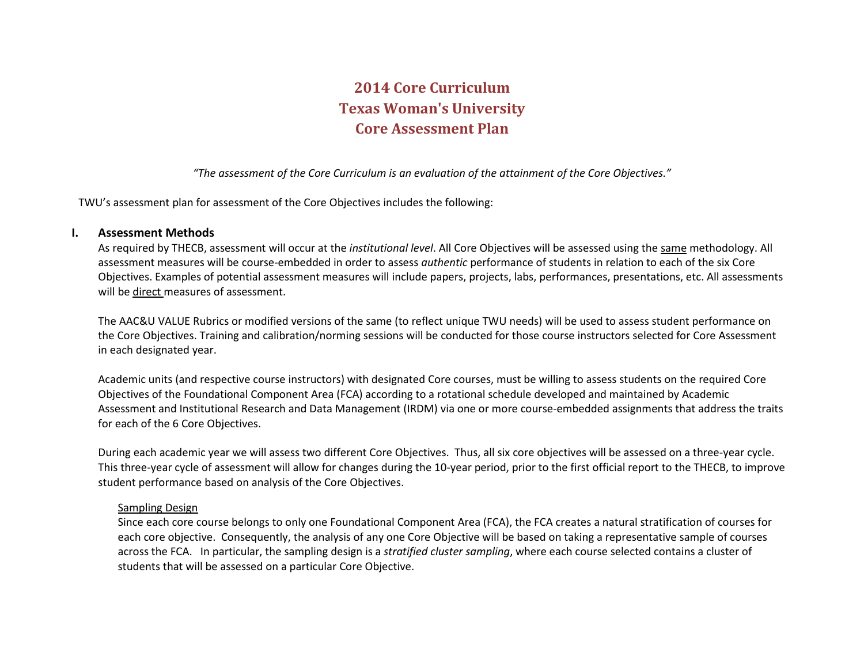# **2014 Core Curriculum Texas Woman's University Core Assessment Plan**

*"The assessment of the Core Curriculum is an evaluation of the attainment of the Core Objectives."*

TWU's assessment plan for assessment of the Core Objectives includes the following:

# **I. Assessment Methods**

As required by THECB, assessment will occur at the *institutional level*. All Core Objectives will be assessed using the same methodology. All assessment measures will be course-embedded in order to assess *authentic* performance of students in relation to each of the six Core Objectives. Examples of potential assessment measures will include papers, projects, labs, performances, presentations, etc. All assessments will be direct measures of assessment.

The AAC&U VALUE Rubrics or modified versions of the same (to reflect unique TWU needs) will be used to assess student performance on the Core Objectives. Training and calibration/norming sessions will be conducted for those course instructors selected for Core Assessment in each designated year.

Academic units (and respective course instructors) with designated Core courses, must be willing to assess students on the required Core Objectives of the Foundational Component Area (FCA) according to a rotational schedule developed and maintained by Academic Assessment and Institutional Research and Data Management (IRDM) via one or more course-embedded assignments that address the traits for each of the 6 Core Objectives.

During each academic year we will assess two different Core Objectives. Thus, all six core objectives will be assessed on a three-year cycle. This three-year cycle of assessment will allow for changes during the 10-year period, prior to the first official report to the THECB, to improve student performance based on analysis of the Core Objectives.

# Sampling Design

Since each core course belongs to only one Foundational Component Area (FCA), the FCA creates a natural stratification of courses for each core objective. Consequently, the analysis of any one Core Objective will be based on taking a representative sample of courses across the FCA. In particular, the sampling design is a *stratified cluster sampling*, where each course selected contains a cluster of students that will be assessed on a particular Core Objective.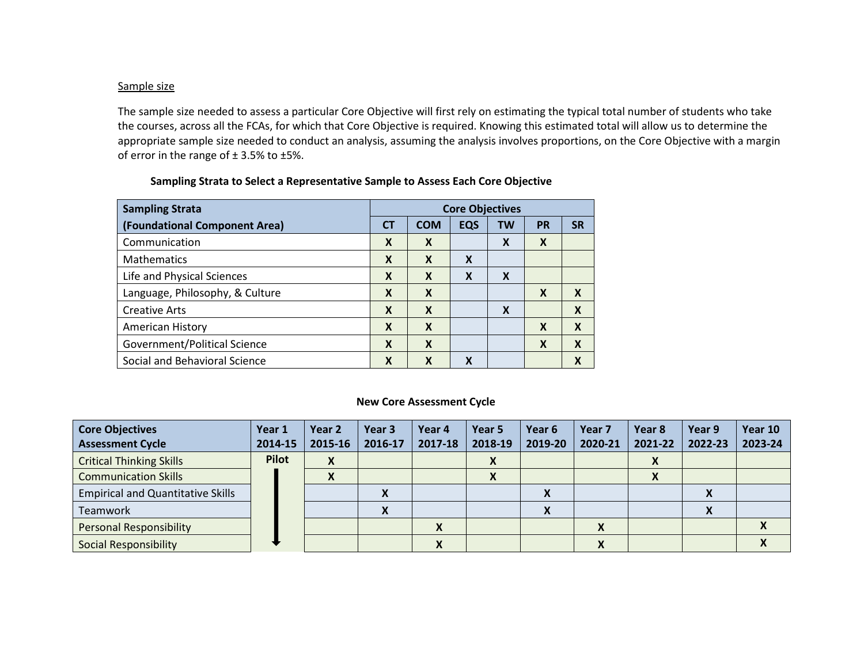### Sample size

The sample size needed to assess a particular Core Objective will first rely on estimating the typical total number of students who take the courses, across all the FCAs, for which that Core Objective is required. Knowing this estimated total will allow us to determine the appropriate sample size needed to conduct an analysis, assuming the analysis involves proportions, on the Core Objective with a margin of error in the range of  $\pm$  3.5% to  $\pm$ 5%.

| <b>Sampling Strata</b>          | <b>Core Objectives</b>    |                           |            |           |           |           |
|---------------------------------|---------------------------|---------------------------|------------|-----------|-----------|-----------|
| (Foundational Component Area)   | <b>CT</b>                 | <b>COM</b>                | <b>EQS</b> | <b>TW</b> | <b>PR</b> | <b>SR</b> |
| Communication                   | X                         | X                         |            | X         | X         |           |
| <b>Mathematics</b>              | X                         | X                         | X          |           |           |           |
| Life and Physical Sciences      | $\boldsymbol{\mathsf{x}}$ | X                         | X          | X         |           |           |
| Language, Philosophy, & Culture | $\boldsymbol{\mathsf{x}}$ | $\boldsymbol{\mathsf{x}}$ |            |           | X         | X         |
| <b>Creative Arts</b>            | X                         | X                         |            | X         |           | X         |
| American History                | $\boldsymbol{\mathsf{x}}$ | X                         |            |           | X         | X         |
| Government/Political Science    | $\boldsymbol{\mathsf{x}}$ | X                         |            |           | X         | X         |
| Social and Behavioral Science   | X                         | X                         | χ          |           |           | X         |

### **Sampling Strata to Select a Representative Sample to Assess Each Core Objective**

### **New Core Assessment Cycle**

| <b>Core Objectives</b>                   | Year 1       | Year <sub>2</sub>  | Year 3       | Year 4  | Year 5             | Year 6       | Year <sub>7</sub> | Year 8             | Year 9                     | Year 10 |
|------------------------------------------|--------------|--------------------|--------------|---------|--------------------|--------------|-------------------|--------------------|----------------------------|---------|
| <b>Assessment Cycle</b>                  | 2014-15      | 2015-16            | 2016-17      | 2017-18 | 2018-19            | 2019-20      | 2020-21           | 2021-22            | 2022-23                    | 2023-24 |
| <b>Critical Thinking Skills</b>          | <b>Pilot</b> | X                  |              |         | $\mathbf{\Lambda}$ |              |                   | $\mathbf{\Lambda}$ |                            |         |
| <b>Communication Skills</b>              |              | $\mathbf{\Lambda}$ |              |         | $\mathbf{v}$       |              |                   | $\mathbf{v}$       |                            |         |
| <b>Empirical and Quantitative Skills</b> |              |                    | $\mathbf{v}$ |         |                    | Λ            |                   |                    | $\boldsymbol{\mathcal{N}}$ |         |
| Teamwork                                 |              |                    | Λ            |         |                    | $\mathbf{v}$ |                   |                    | $\mathbf{\Lambda}$         |         |
| <b>Personal Responsibility</b>           |              |                    |              | Λ       |                    |              |                   |                    |                            |         |
| <b>Social Responsibility</b>             |              |                    |              |         |                    |              | $\mathbf{v}$      |                    |                            |         |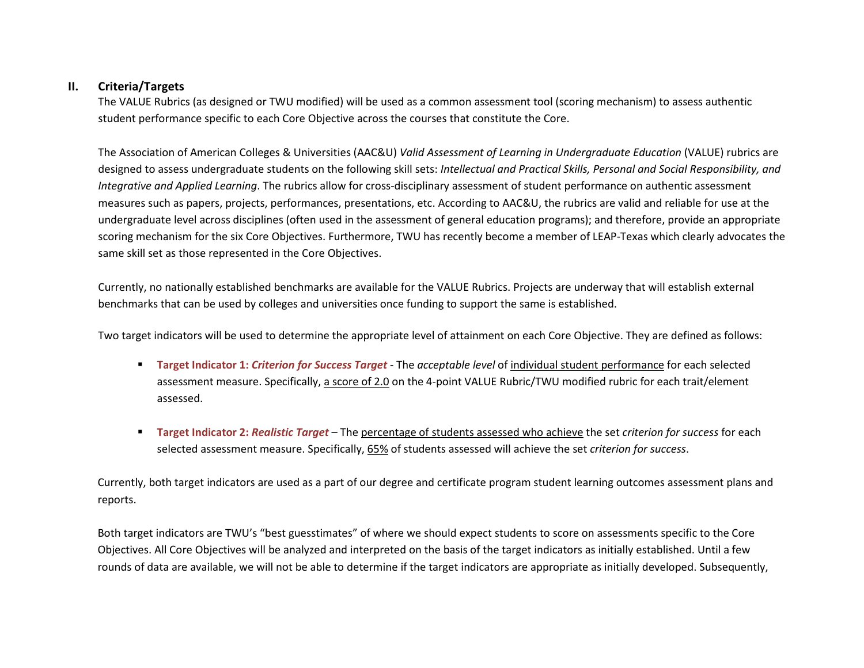# **II. Criteria/Targets**

The VALUE Rubrics (as designed or TWU modified) will be used as a common assessment tool (scoring mechanism) to assess authentic student performance specific to each Core Objective across the courses that constitute the Core.

The Association of American Colleges & Universities (AAC&U) *Valid Assessment of Learning in Undergraduate Education* (VALUE) rubrics are designed to assess undergraduate students on the following skill sets: *Intellectual and Practical Skills, Personal and Social Responsibility, and Integrative and Applied Learning*. The rubrics allow for cross-disciplinary assessment of student performance on authentic assessment measures such as papers, projects, performances, presentations, etc. According to AAC&U, the rubrics are valid and reliable for use at the undergraduate level across disciplines (often used in the assessment of general education programs); and therefore, provide an appropriate scoring mechanism for the six Core Objectives. Furthermore, TWU has recently become a member of LEAP-Texas which clearly advocates the same skill set as those represented in the Core Objectives.

Currently, no nationally established benchmarks are available for the VALUE Rubrics. Projects are underway that will establish external benchmarks that can be used by colleges and universities once funding to support the same is established.

Two target indicators will be used to determine the appropriate level of attainment on each Core Objective. They are defined as follows:

- **Target Indicator 1:** *Criterion for Success Target* The *acceptable level* of individual student performance for each selected assessment measure. Specifically, a score of 2.0 on the 4-point VALUE Rubric/TWU modified rubric for each trait/element assessed.
- **Target Indicator 2:** *Realistic Target* The percentage of students assessed who achieve the set *criterion for success* for each selected assessment measure. Specifically, 65% of students assessed will achieve the set *criterion for success*.

 Currently, both target indicators are used as a part of our degree and certificate program student learning outcomes assessment plans and reports.

 Both target indicators are TWU's "best guesstimates" of where we should expect students to score on assessments specific to the Core Objectives. All Core Objectives will be analyzed and interpreted on the basis of the target indicators as initially established. Until a few rounds of data are available, we will not be able to determine if the target indicators are appropriate as initially developed. Subsequently,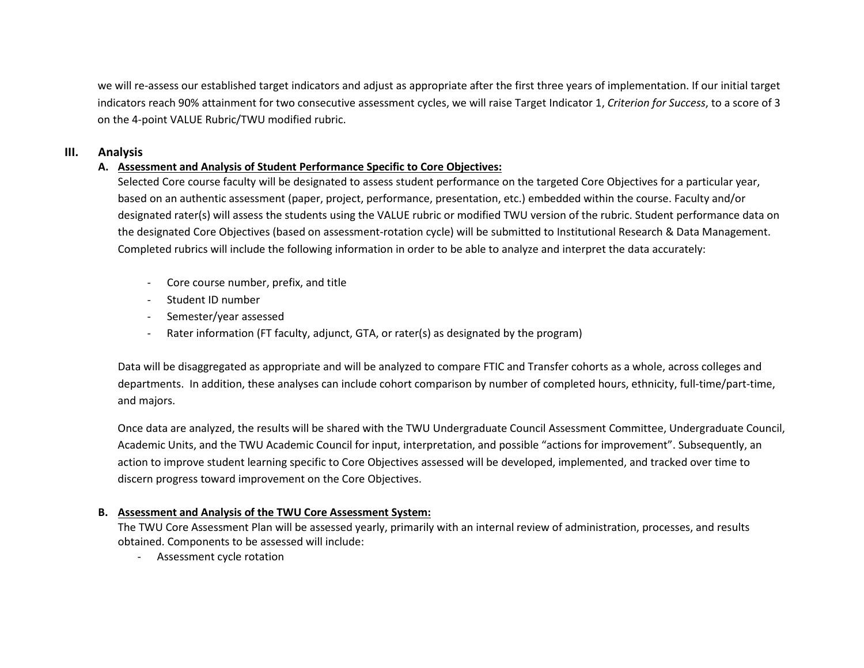we will re-assess our established target indicators and adjust as appropriate after the first three years of implementation. If our initial target indicators reach 90% attainment for two consecutive assessment cycles, we will raise Target Indicator 1, *Criterion for Success*, to a score of 3 on the 4-point VALUE Rubric/TWU modified rubric.

# **III. Analysis**

# **A. Assessment and Analysis of Student Performance Specific to Core Objectives:**

Selected Core course faculty will be designated to assess student performance on the targeted Core Objectives for a particular year, based on an authentic assessment (paper, project, performance, presentation, etc.) embedded within the course. Faculty and/or designated rater(s) will assess the students using the VALUE rubric or modified TWU version of the rubric. Student performance data on the designated Core Objectives (based on assessment-rotation cycle) will be submitted to Institutional Research & Data Management. Completed rubrics will include the following information in order to be able to analyze and interpret the data accurately:

- Core course number, prefix, and title
- Student ID number
- Semester/year assessed
- Rater information (FT faculty, adjunct, GTA, or rater(s) as designated by the program)

Data will be disaggregated as appropriate and will be analyzed to compare FTIC and Transfer cohorts as a whole, across colleges and departments. In addition, these analyses can include cohort comparison by number of completed hours, ethnicity, full-time/part-time, and majors.

Once data are analyzed, the results will be shared with the TWU Undergraduate Council Assessment Committee, Undergraduate Council, Academic Units, and the TWU Academic Council for input, interpretation, and possible "actions for improvement". Subsequently, an action to improve student learning specific to Core Objectives assessed will be developed, implemented, and tracked over time to discern progress toward improvement on the Core Objectives.

# **B. Assessment and Analysis of the TWU Core Assessment System:**

The TWU Core Assessment Plan will be assessed yearly, primarily with an internal review of administration, processes, and results obtained. Components to be assessed will include:

- Assessment cycle rotation